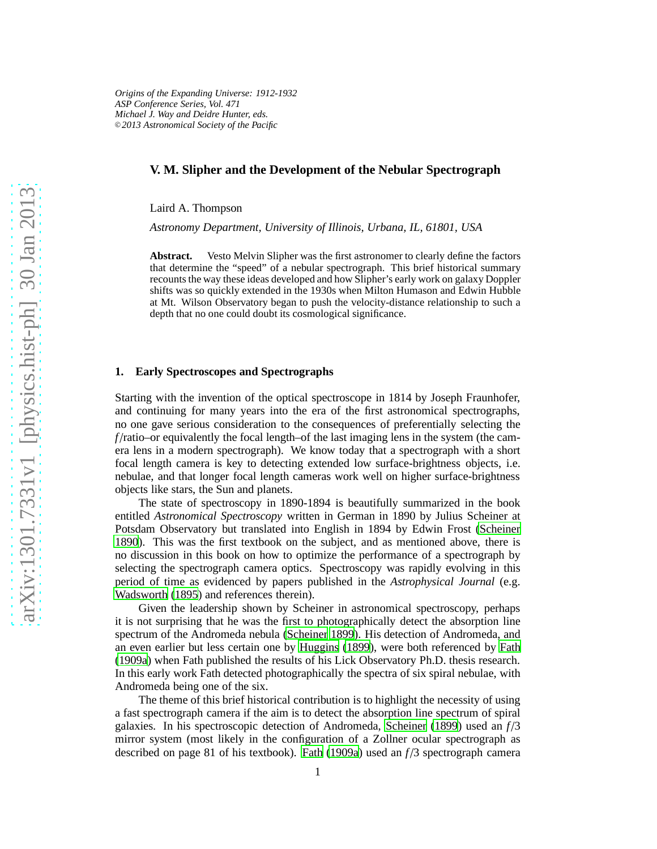## **V. M. Slipher and the Development of the Nebular Spectrograph**

Laird A. Thompson

*Astronomy Department, University of Illinois, Urbana, IL, 61801, USA*

**Abstract.** Vesto Melvin Slipher was the first astronomer to clearly define the factors that determine the "speed" of a nebular spectrograph. This brief historical summary recounts the way these ideas developed and how Slipher's early work on galaxy Doppler shifts was so quickly extended in the 1930s when Milton Humason and Edwin Hubble at Mt. Wilson Observatory began to push the velocity-distance relationship to such a depth that no one could doubt its cosmological significance.

# **1. Early Spectroscopes and Spectrographs**

Starting with the invention of the optical spectroscope in 1814 by Joseph Fraunhofer, and continuing for many years into the era of the first astronomical spectrographs, no one gave serious consideration to the consequences of preferentially selecting the *f* /ratio–or equivalently the focal length–of the last imaging lens in the system (the camera lens in a modern spectrograph). We know today that a spectrograph with a short focal length camera is key to detecting extended low surface-brightness objects, i.e. nebulae, and that longer focal length cameras work well on higher surface-brightness objects like stars, the Sun and planets.

The state of spectroscopy in 1890-1894 is beautifully summarized in the book entitled *Astronomical Spectroscopy* written in German in 1890 by Julius Scheiner at Potsdam Observatory but translated into English in 1894 by Edwin Frost [\(Scheiner](#page-6-0) [1890](#page-6-0)). This was the first textbook on the subject, and as mentioned above, there is no discussion in this book on how to optimize the performance of a spectrograph by selecting the spectrograph camera optics. Spectroscopy was rapidly evolving in this period of time as evidenced by papers published in the *Astrophysical Journal* (e.g. [Wadsworth \(1895\)](#page-6-1) and references therein).

Given the leadership shown by Scheiner in astronomical spectroscopy, perhaps it is not surprising that he was the first to photographically detect the absorption line spectrum of the Andromeda nebula [\(Scheiner 1899](#page-6-2)). His detection of Andromeda, and an even earlier but less certain one by [Huggins \(1899](#page-6-3)), were both referenced by [Fath](#page-5-0) [\(1909a](#page-5-0)) when Fath published the results of his Lick Observatory Ph.D. thesis research. In this early work Fath detected photographically the spectra of six spiral nebulae, with Andromeda being one of the six.

The theme of this brief historical contribution is to highlight the necessity of using a fast spectrograph camera if the aim is to detect the absorption line spectrum of spiral galaxies. In his spectroscopic detection of Andromeda, [Scheiner \(1899\)](#page-6-2) used an *f* /3 mirror system (most likely in the configuration of a Zollner ocular spectrograph as described on page 81 of his textbook). [Fath](#page-5-0) [\(1909a](#page-5-0)) used an *f* /3 spectrograph camera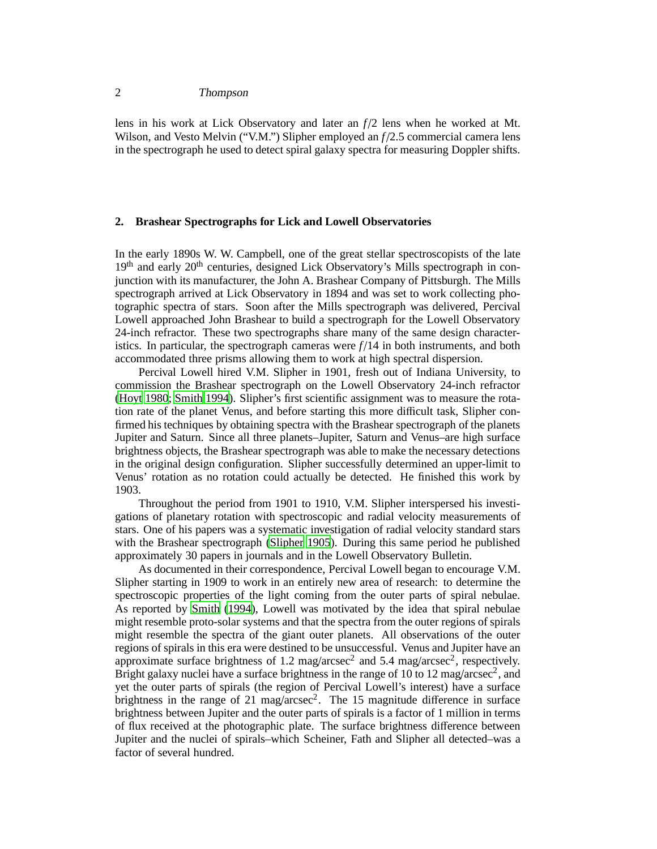lens in his work at Lick Observatory and later an *f* /2 lens when he worked at Mt. Wilson, and Vesto Melvin ("V.M.") Slipher employed an  $f/2.5$  commercial camera lens in the spectrograph he used to detect spiral galaxy spectra for measuring Doppler shifts.

## **2. Brashear Spectrographs for Lick and Lowell Observatories**

In the early 1890s W. W. Campbell, one of the great stellar spectroscopists of the late  $19<sup>th</sup>$  and early  $20<sup>th</sup>$  centuries, designed Lick Observatory's Mills spectrograph in conjunction with its manufacturer, the John A. Brashear Company of Pittsburgh. The Mills spectrograph arrived at Lick Observatory in 1894 and was set to work collecting photographic spectra of stars. Soon after the Mills spectrograph was delivered, Percival Lowell approached John Brashear to build a spectrograph for the Lowell Observatory 24-inch refractor. These two spectrographs share many of the same design characteristics. In particular, the spectrograph cameras were  $f/14$  in both instruments, and both accommodated three prisms allowing them to work at high spectral dispersion.

Percival Lowell hired V.M. Slipher in 1901, fresh out of Indiana University, to commission the Brashear spectrograph on the Lowell Observatory 24-inch refractor [\(Hoyt 1980](#page-6-4); [Smith 1994](#page-6-5)). Slipher's first scientific assignment was to measure the rotation rate of the planet Venus, and before starting this more difficult task, Slipher confirmed his techniques by obtaining spectra with the Brashear spectrograph of the planets Jupiter and Saturn. Since all three planets–Jupiter, Saturn and Venus–are high surface brightness objects, the Brashear spectrograph was able to make the necessary detections in the original design configuration. Slipher successfully determined an upper-limit to Venus' rotation as no rotation could actually be detected. He finished this work by 1903.

Throughout the period from 1901 to 1910, V.M. Slipher interspersed his investigations of planetary rotation with spectroscopic and radial velocity measurements of stars. One of his papers was a systematic investigation of radial velocity standard stars with the Brashear spectrograph [\(Slipher 1905](#page-6-6)). During this same period he published approximately 30 papers in journals and in the Lowell Observatory Bulletin.

As documented in their correspondence, Percival Lowell began to encourage V.M. Slipher starting in 1909 to work in an entirely new area of research: to determine the spectroscopic properties of the light coming from the outer parts of spiral nebulae. As reported by [Smith](#page-6-5) [\(1994](#page-6-5)), Lowell was motivated by the idea that spiral nebulae might resemble proto-solar systems and that the spectra from the outer regions of spirals might resemble the spectra of the giant outer planets. All observations of the outer regions of spirals in this era were destined to be unsuccessful. Venus and Jupiter have an approximate surface brightness of 1.2 mag/arcsec<sup>2</sup> and 5.4 mag/arcsec<sup>2</sup>, respectively. Bright galaxy nuclei have a surface brightness in the range of 10 to 12 mag/arcsec<sup>2</sup>, and yet the outer parts of spirals (the region of Percival Lowell's interest) have a surface brightness in the range of 21 mag/arcsec<sup>2</sup>. The 15 magnitude difference in surface brightness between Jupiter and the outer parts of spirals is a factor of 1 million in terms of flux received at the photographic plate. The surface brightness difference between Jupiter and the nuclei of spirals–which Scheiner, Fath and Slipher all detected–was a factor of several hundred.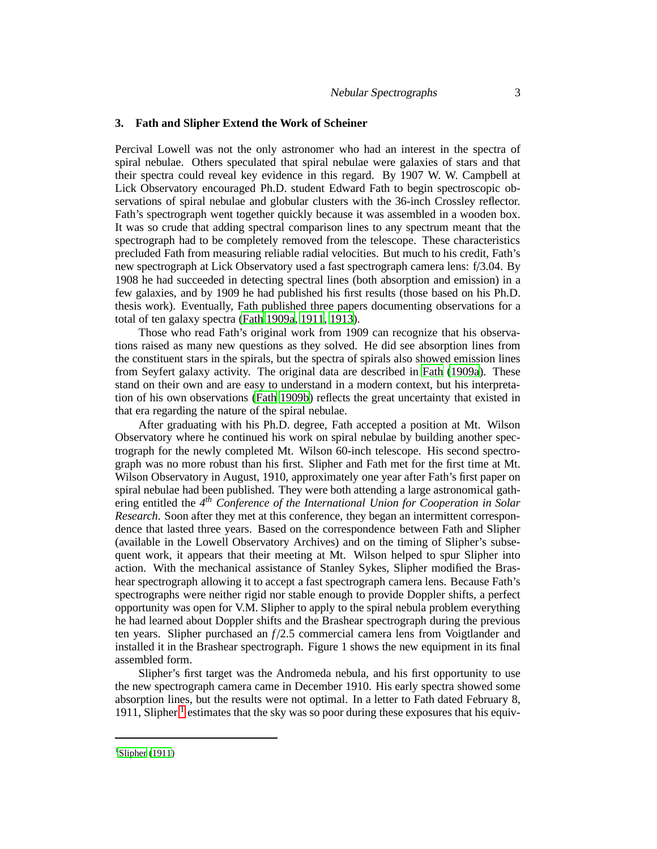## **3. Fath and Slipher Extend the Work of Scheiner**

Percival Lowell was not the only astronomer who had an interest in the spectra of spiral nebulae. Others speculated that spiral nebulae were galaxies of stars and that their spectra could reveal key evidence in this regard. By 1907 W. W. Campbell at Lick Observatory encouraged Ph.D. student Edward Fath to begin spectroscopic observations of spiral nebulae and globular clusters with the 36-inch Crossley reflector. Fath's spectrograph went together quickly because it was assembled in a wooden box. It was so crude that adding spectral comparison lines to any spectrum meant that the spectrograph had to be completely removed from the telescope. These characteristics precluded Fath from measuring reliable radial velocities. But much to his credit, Fath's new spectrograph at Lick Observatory used a fast spectrograph camera lens: f/3.04. By 1908 he had succeeded in detecting spectral lines (both absorption and emission) in a few galaxies, and by 1909 he had published his first results (those based on his Ph.D. thesis work). Eventually, Fath published three papers documenting observations for a total of ten galaxy spectra [\(Fath 1909a,](#page-5-0) [1911](#page-5-1), [1913](#page-5-2)).

Those who read Fath's original work from 1909 can recognize that his observations raised as many new questions as they solved. He did see absorption lines from the constituent stars in the spirals, but the spectra of spirals also showed emission lines from Seyfert galaxy activity. The original data are described in [Fath \(1909a](#page-5-0)). These stand on their own and are easy to understand in a modern context, but his interpretation of his own observations [\(Fath 1909b](#page-5-3)) reflects the great uncertainty that existed in that era regarding the nature of the spiral nebulae.

After graduating with his Ph.D. degree, Fath accepted a position at Mt. Wilson Observatory where he continued his work on spiral nebulae by building another spectrograph for the newly completed Mt. Wilson 60-inch telescope. His second spectrograph was no more robust than his first. Slipher and Fath met for the first time at Mt. Wilson Observatory in August, 1910, approximately one year after Fath's first paper on spiral nebulae had been published. They were both attending a large astronomical gathering entitled the 4<sup>th</sup> Conference of the International Union for Cooperation in Solar *Research*. Soon after they met at this conference, they began an intermittent correspondence that lasted three years. Based on the correspondence between Fath and Slipher (available in the Lowell Observatory Archives) and on the timing of Slipher's subsequent work, it appears that their meeting at Mt. Wilson helped to spur Slipher into action. With the mechanical assistance of Stanley Sykes, Slipher modified the Brashear spectrograph allowing it to accept a fast spectrograph camera lens. Because Fath's spectrographs were neither rigid nor stable enough to provide Doppler shifts, a perfect opportunity was open for V.M. Slipher to apply to the spiral nebula problem everything he had learned about Doppler shifts and the Brashear spectrograph during the previous ten years. Slipher purchased an *f* /2.5 commercial camera lens from Voigtlander and installed it in the Brashear spectrograph. Figure 1 shows the new equipment in its final assembled form.

Slipher's first target was the Andromeda nebula, and his first opportunity to use the new spectrograph camera came in December 1910. His early spectra showed some absorption lines, but the results were not optimal. In a letter to Fath dated February 8, [1](#page-2-0)911, Slipher<sup>1</sup> estimates that the sky was so poor during these exposures that his equiv-

<span id="page-2-0"></span> $1$ [Slipher \(1911\)](#page-6-7)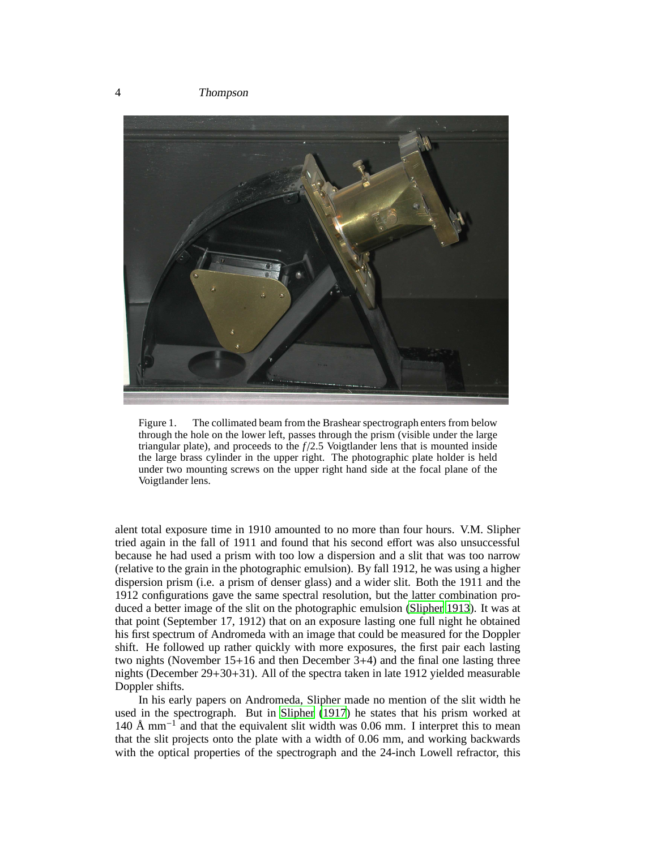

Figure 1. The collimated beam from the Brashear spectrograph enters from below through the hole on the lower left, passes through the prism (visible under the large triangular plate), and proceeds to the  $f/2.5$  Voigtlander lens that is mounted inside the large brass cylinder in the upper right. The photographic plate holder is held under two mounting screws on the upper right hand side at the focal plane of the Voigtlander lens.

alent total exposure time in 1910 amounted to no more than four hours. V.M. Slipher tried again in the fall of 1911 and found that his second effort was also unsuccessful because he had used a prism with too low a dispersion and a slit that was too narrow (relative to the grain in the photographic emulsion). By fall 1912, he was using a higher dispersion prism (i.e. a prism of denser glass) and a wider slit. Both the 1911 and the 1912 configurations gave the same spectral resolution, but the latter combination produced a better image of the slit on the photographic emulsion [\(Slipher 1913](#page-6-8)). It was at that point (September 17, 1912) that on an exposure lasting one full night he obtained his first spectrum of Andromeda with an image that could be measured for the Doppler shift. He followed up rather quickly with more exposures, the first pair each lasting two nights (November 15+16 and then December 3+4) and the final one lasting three nights (December 29+30+31). All of the spectra taken in late 1912 yielded measurable Doppler shifts.

In his early papers on Andromeda, Slipher made no mention of the slit width he used in the spectrograph. But in [Slipher \(1917\)](#page-6-9) he states that his prism worked at 140 Å mm−<sup>1</sup> and that the equivalent slit width was 0.06 mm. I interpret this to mean that the slit projects onto the plate with a width of 0.06 mm, and working backwards with the optical properties of the spectrograph and the 24-inch Lowell refractor, this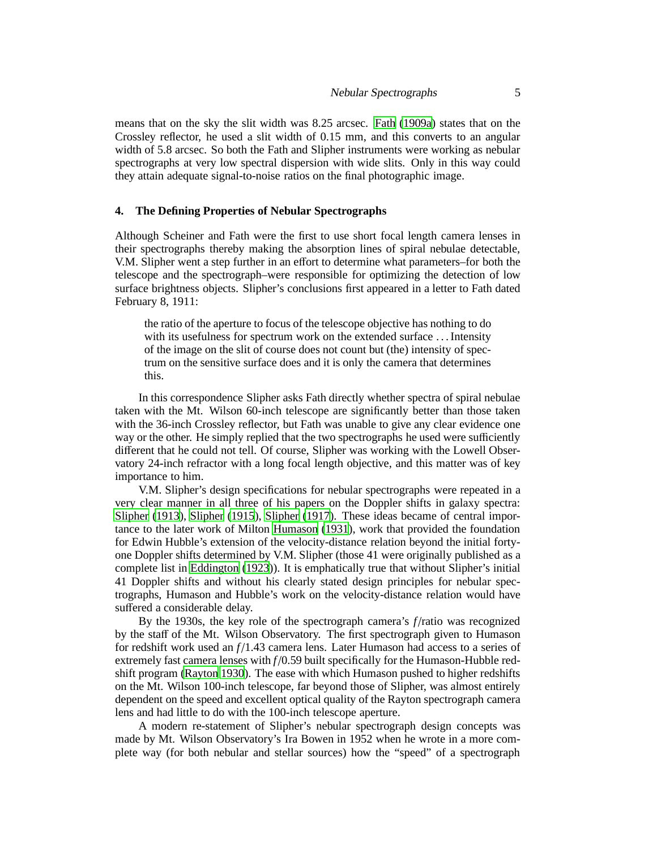means that on the sky the slit width was 8.25 arcsec. [Fath \(1909a](#page-5-0)) states that on the Crossley reflector, he used a slit width of 0.15 mm, and this converts to an angular width of 5.8 arcsec. So both the Fath and Slipher instruments were working as nebular spectrographs at very low spectral dispersion with wide slits. Only in this way could they attain adequate signal-to-noise ratios on the final photographic image.

# **4. The Defining Properties of Nebular Spectrographs**

Although Scheiner and Fath were the first to use short focal length camera lenses in their spectrographs thereby making the absorption lines of spiral nebulae detectable, V.M. Slipher went a step further in an effort to determine what parameters–for both the telescope and the spectrograph–were responsible for optimizing the detection of low surface brightness objects. Slipher's conclusions first appeared in a letter to Fath dated February 8, 1911:

the ratio of the aperture to focus of the telescope objective has nothing to do with its usefulness for spectrum work on the extended surface ... Intensity of the image on the slit of course does not count but (the) intensity of spectrum on the sensitive surface does and it is only the camera that determines this.

In this correspondence Slipher asks Fath directly whether spectra of spiral nebulae taken with the Mt. Wilson 60-inch telescope are significantly better than those taken with the 36-inch Crossley reflector, but Fath was unable to give any clear evidence one way or the other. He simply replied that the two spectrographs he used were sufficiently different that he could not tell. Of course, Slipher was working with the Lowell Observatory 24-inch refractor with a long focal length objective, and this matter was of key importance to him.

V.M. Slipher's design specifications for nebular spectrographs were repeated in a very clear manner in all three of his papers on the Doppler shifts in galaxy spectra: [Slipher](#page-6-8) [\(1913](#page-6-8)), [Slipher](#page-6-10) [\(1915](#page-6-10)), [Slipher](#page-6-9) [\(1917](#page-6-9)). These ideas became of central importance to the later work of Milton [Humason \(1931](#page-6-11)), work that provided the foundation for Edwin Hubble's extension of the velocity-distance relation beyond the initial fortyone Doppler shifts determined by V.M. Slipher (those 41 were originally published as a complete list in [Eddington \(1923](#page-5-4))). It is emphatically true that without Slipher's initial 41 Doppler shifts and without his clearly stated design principles for nebular spectrographs, Humason and Hubble's work on the velocity-distance relation would have suffered a considerable delay.

By the 1930s, the key role of the spectrograph camera's *f* /ratio was recognized by the staff of the Mt. Wilson Observatory. The first spectrograph given to Humason for redshift work used an *f* /1.43 camera lens. Later Humason had access to a series of extremely fast camera lenses with  $f/0.59$  built specifically for the Humason-Hubble redshift program [\(Rayton 1930\)](#page-6-12). The ease with which Humason pushed to higher redshifts on the Mt. Wilson 100-inch telescope, far beyond those of Slipher, was almost entirely dependent on the speed and excellent optical quality of the Rayton spectrograph camera lens and had little to do with the 100-inch telescope aperture.

A modern re-statement of Slipher's nebular spectrograph design concepts was made by Mt. Wilson Observatory's Ira Bowen in 1952 when he wrote in a more complete way (for both nebular and stellar sources) how the "speed" of a spectrograph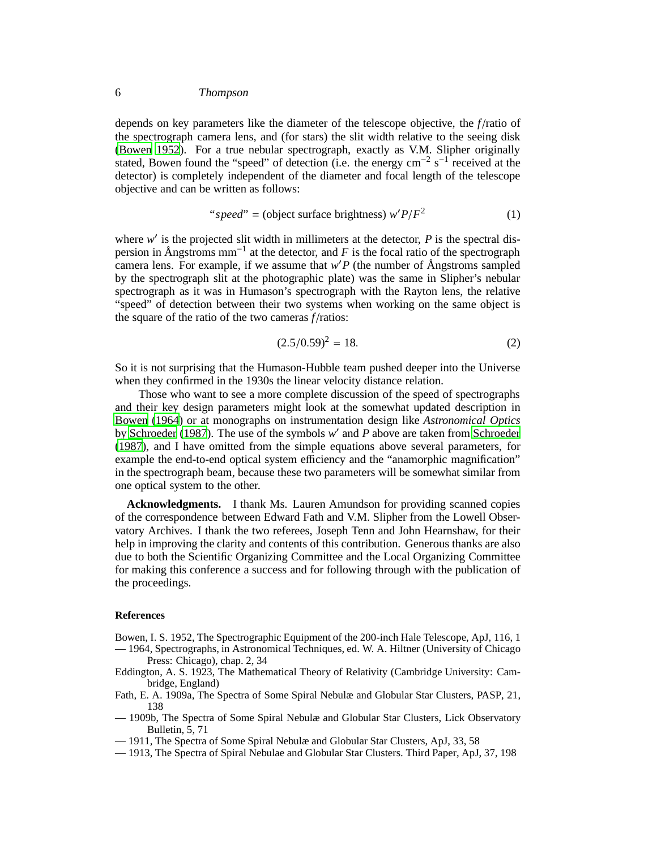#### 6 Thompson

depends on key parameters like the diameter of the telescope objective, the *f* /ratio of the spectrograph camera lens, and (for stars) the slit width relative to the seeing disk [\(Bowen 1952](#page-5-5)). For a true nebular spectrograph, exactly as V.M. Slipher originally stated, Bowen found the "speed" of detection (i.e. the energy cm<sup>-2</sup> s<sup>-1</sup> received at the detector) is completely independent of the diameter and focal length of the telescope objective and can be written as follows:

"
$$
"speed" = (object surface brightness) w'P/F2
$$
 (1)

where w' is the projected slit width in millimeters at the detector, P is the spectral dispersion in Ångstroms mm−<sup>1</sup> at the detector, and *F* is the focal ratio of the spectrograph camera lens. For example, if we assume that *w* ′*P* (the number of Ångstroms sampled by the spectrograph slit at the photographic plate) was the same in Slipher's nebular spectrograph as it was in Humason's spectrograph with the Rayton lens, the relative "speed" of detection between their two systems when working on the same object is the square of the ratio of the two cameras *f* /ratios:

$$
(2.5/0.59)^2 = 18.\t(2)
$$

So it is not surprising that the Humason-Hubble team pushed deeper into the Universe when they confirmed in the 1930s the linear velocity distance relation.

Those who want to see a more complete discussion of the speed of spectrographs and their key design parameters might look at the somewhat updated description in [Bowen \(1964](#page-5-6)) or at monographs on instrumentation design like *Astronomical Optics* by [Schroeder \(1987](#page-6-13)). The use of the symbols w' and P above are taken from [Schroeder](#page-6-13) [\(1987](#page-6-13)), and I have omitted from the simple equations above several parameters, for example the end-to-end optical system efficiency and the "anamorphic magnification" in the spectrograph beam, because these two parameters will be somewhat similar from one optical system to the other.

**Acknowledgments.** I thank Ms. Lauren Amundson for providing scanned copies of the correspondence between Edward Fath and V.M. Slipher from the Lowell Observatory Archives. I thank the two referees, Joseph Tenn and John Hearnshaw, for their help in improving the clarity and contents of this contribution. Generous thanks are also due to both the Scientific Organizing Committee and the Local Organizing Committee for making this conference a success and for following through with the publication of the proceedings.

#### **References**

<span id="page-5-6"></span><span id="page-5-5"></span>Bowen, I. S. 1952, The Spectrographic Equipment of the 200-inch Hale Telescope, ApJ, 116, 1 — 1964, Spectrographs, in Astronomical Techniques, ed. W. A. Hiltner (University of Chicago

- <span id="page-5-4"></span>Eddington, A. S. 1923, The Mathematical Theory of Relativity (Cambridge University: Cambridge, England)
- <span id="page-5-0"></span>Fath, E. A. 1909a, The Spectra of Some Spiral Nebulæ and Globular Star Clusters, PASP, 21, 138
- <span id="page-5-3"></span>— 1909b, The Spectra of Some Spiral Nebulæ and Globular Star Clusters, Lick Observatory Bulletin, 5, 71
- <span id="page-5-1"></span>— 1911, The Spectra of Some Spiral Nebulæ and Globular Star Clusters, ApJ, 33, 58
- <span id="page-5-2"></span>— 1913, The Spectra of Spiral Nebulae and Globular Star Clusters. Third Paper, ApJ, 37, 198

Press: Chicago), chap. 2, 34